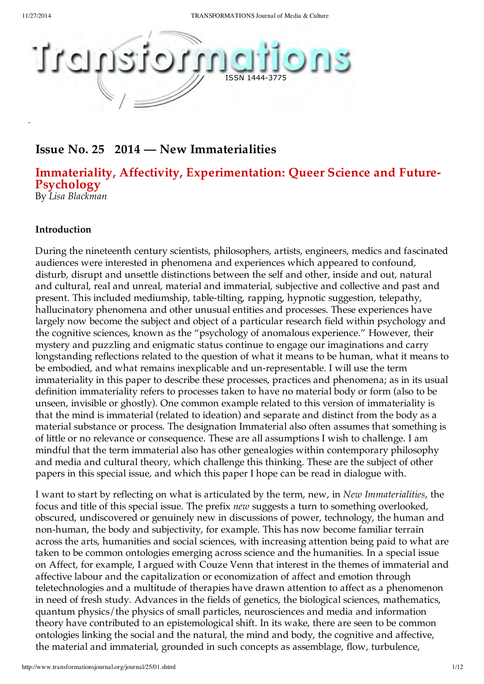

## **Issue No. 25 2014 — New Immaterialities**

# **Immateriality, Affectivity, Experimentation: Queer Science and Future- Psychology**

By *Lisa Blackman*

#### **Introduction**

During the nineteenth century scientists, philosophers, artists, engineers, medics and fascinated audiences were interested in phenomena and experiences which appeared to confound, disturb, disrupt and unsettle distinctions between the self and other, inside and out, natural and cultural, real and unreal, material and immaterial, subjective and collective and past and present. This included mediumship, table-tilting, rapping, hypnotic suggestion, telepathy, hallucinatory phenomena and other unusual entities and processes. These experiences have largely now become the subject and object of a particular research field within psychology and the cognitive sciences, known as the "psychology of anomalous experience." However, their mystery and puzzling and enigmatic status continue to engage our imaginations and carry longstanding reflections related to the question of what it means to be human, what it means to be embodied, and what remains inexplicable and un-representable. I will use the term immateriality in this paper to describe these processes, practices and phenomena; as in its usual definition immateriality refers to processes taken to have no material body or form (also to be unseen, invisible or ghostly). One common example related to this version of immateriality is that the mind is immaterial (related to ideation) and separate and distinct from the body as a material substance or process. The designation Immaterial also often assumes that something is of little or no relevance or consequence. These are all assumptions I wish to challenge. I am mindful that the term immaterial also has other genealogies within contemporary philosophy and media and cultural theory, which challenge this thinking. These are the subject of other papers in this special issue, and which this paper I hope can be read in dialogue with.

I want to start by reflecting on what is articulated by the term, new, in *New Immaterialities*, the focus and title of this special issue. The prefix *new* suggests a turn to something overlooked, obscured, undiscovered or genuinely new in discussions of power, technology, the human and non-human, the body and subjectivity, for example. This has now become familiar terrain across the arts, humanities and social sciences, with increasing attention being paid to what are taken to be common ontologies emerging across science and the humanities. In a special issue on Affect, for example, I argued with Couze Venn that interest in the themes of immaterial and affective labour and the capitalization or economization of affect and emotion through teletechnologies and a multitude of therapies have drawn attention to affect as a phenomenon in need of fresh study. Advances in the fields of genetics, the biological sciences, mathematics, quantum physics/the physics of small particles, neurosciences and media and information theory have contributed to an epistemological shift. In its wake, there are seen to be common ontologies linking the social and the natural, the mind and body, the cognitive and affective, the material and immaterial, grounded in such concepts as assemblage, flow, turbulence,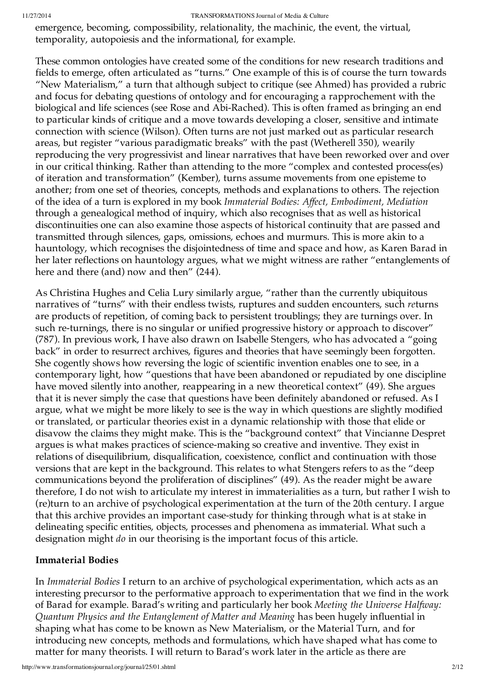emergence, becoming, compossibility, relationality, the machinic, the event, the virtual, temporality, autopoiesis and the informational, for example.

These common ontologies have created some of the conditions for new research traditions and fields to emerge, often articulated as "turns." One example of this is of course the turn towards "New Materialism," a turn that although subject to critique (see Ahmed) has provided a rubric and focus for debating questions of ontology and for encouraging a rapprochement with the biological and life sciences (see Rose and Abi-Rached). This is often framed as bringing an end to particular kinds of critique and a move towards developing a closer, sensitive and intimate connection with science (Wilson). Often turns are not just marked out as particular research areas, but register "various paradigmatic breaks" with the past (Wetherell 350), wearily reproducing the very progressivist and linear narratives that have been reworked over and over in our critical thinking. Rather than attending to the more "complex and contested process(es) of iteration and transformation" (Kember), turns assume movements from one episteme to another; from one set of theories, concepts, methods and explanations to others. The rejection of the idea of a turn is explored in my book *Immaterial Bodies: Affect, Embodiment, Mediation* through a genealogical method of inquiry, which also recognises that as well as historical discontinuities one can also examine those aspects of historical continuity that are passed and transmitted through silences, gaps, omissions, echoes and murmurs. This is more akin to a hauntology, which recognises the disjointedness of time and space and how, as Karen Barad in her later reflections on hauntology argues, what we might witness are rather "entanglements of here and there (and) now and then" (244).

As Christina Hughes and Celia Lury similarly argue, "rather than the currently ubiquitous narratives of "turns" with their endless twists, ruptures and sudden encounters, such *re*turns are products of repetition, of coming back to persistent troublings; they are turnings over. In such re-turnings, there is no singular or unified progressive history or approach to discover" (787). In previous work, I have also drawn on Isabelle Stengers, who has advocated a "going back" in order to resurrect archives, figures and theories that have seemingly been forgotten. She cogently shows how reversing the logic of scientific invention enables one to see, in a contemporary light, how "questions that have been abandoned or repudiated by one discipline have moved silently into another, reappearing in a new theoretical context" (49). She argues that it is never simply the case that questions have been definitely abandoned or refused. As I argue, what we might be more likely to see is the way in which questions are slightly modified or translated, or particular theories exist in a dynamic relationship with those that elide or disavow the claims they might make. This is the "background context" that Vincianne Despret argues is what makes practices of science-making so creative and inventive. They exist in relations of disequilibrium, disqualification, coexistence, conflict and continuation with those versions that are kept in the background. This relates to what Stengers refers to as the "deep communications beyond the proliferation of disciplines" (49). As the reader might be aware therefore, I do not wish to articulate my interest in immaterialities as a turn, but rather I wish to (re)turn to an archive of psychological experimentation at the turn of the 20th century. I argue that this archive provides an important case-study for thinking through what is at stake in delineating specific entities, objects, processes and phenomena as immaterial. What such a designation might *do* in our theorising is the important focus of this article.

#### **Immaterial Bodies**

In *Immaterial Bodies* I return to an archive of psychological experimentation, which acts as an interesting precursor to the performative approach to experimentation that we find in the work of Barad for example. Barad's writing and particularly her book *Meeting the Universe Halfway: Quantum Physics and the Entanglement of Matter and Meaning* has been hugely influential in shaping what has come to be known as New Materialism, or the Material Turn, and for introducing new concepts, methods and formulations, which have shaped what has come to matter for many theorists. I will return to Barad's work later in the article as there are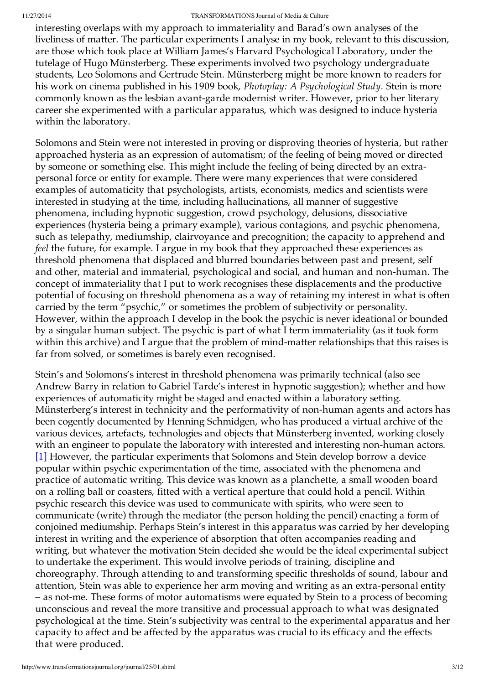interesting overlaps with my approach to immateriality and Barad's own analyses of the liveliness of matter. The particular experiments I analyse in my book, relevant to this discussion, are those which took place at William James's Harvard Psychological Laboratory, under the tutelage of Hugo Münsterberg. These experiments involved two psychology undergraduate students, Leo Solomons and Gertrude Stein. Münsterberg might be more known to readers for his work on cinema published in his 1909 book, *Photoplay: A Psychological Study.* Stein is more commonly known as the lesbian avant-garde modernist writer. However, prior to her literary career she experimented with a particular apparatus, which was designed to induce hysteria within the laboratory.

Solomons and Stein were not interested in proving or disproving theories of hysteria, but rather approached hysteria as an expression of automatism; of the feeling of being moved or directed by someone or something else. This might include the feeling of being directed by an extrapersonal force or entity for example. There were many experiences that were considered examples of automaticity that psychologists, artists, economists, medics and scientists were interested in studying at the time, including hallucinations, all manner of suggestive phenomena, including hypnotic suggestion, crowd psychology, delusions, dissociative experiences (hysteria being a primary example), various contagions, and psychic phenomena, such as telepathy, mediumship, clairvoyance and precognition; the capacity to apprehend and *feel* the future, for example. I argue in my book that they approached these experiences as threshold phenomena that displaced and blurred boundaries between past and present, self and other, material and immaterial, psychological and social, and human and non-human. The concept of immateriality that I put to work recognises these displacements and the productive potential of focusing on threshold phenomena as a way of retaining my interest in what is often carried by the term "psychic," or sometimes the problem of subjectivity or personality. However, within the approach I develop in the book the psychic is never ideational or bounded by a singular human subject. The psychic is part of what I term immateriality (as it took form within this archive) and I argue that the problem of mind-matter relationships that this raises is far from solved, or sometimes is barely even recognised.

Stein's and Solomons's interest in threshold phenomena was primarily technical (also see Andrew Barry in relation to Gabriel Tarde's interest in hypnotic suggestion); whether and how experiences of automaticity might be staged and enacted within a laboratory setting. Münsterberg's interest in technicity and the performativity of non-human agents and actors has been cogently documented by Henning Schmidgen, who has produced a virtual archive of the various devices, artefacts, technologies and objects that Münsterberg invented, working closely with an engineer to populate the laboratory with interested and interesting non-human actors. [1] However, the particular experiments that Solomons and Stein develop borrow a device popular within psychic experimentation of the time, associated with the phenomena and practice of automatic writing. This device was known as a planchette, a small wooden board on a rolling ball or coasters, fitted with a vertical aperture that could hold a pencil. Within psychic research this device was used to communicate with spirits, who were seen to communicate (write) through the mediator (the person holding the pencil) enacting a form of conjoined mediumship. Perhaps Stein's interest in this apparatus was carried by her developing interest in writing and the experience of absorption that often accompanies reading and writing, but whatever the motivation Stein decided she would be the ideal experimental subject to undertake the experiment. This would involve periods of training, discipline and choreography. Through attending to and transforming specific thresholds of sound, labour and attention, Stein was able to experience her arm moving and writing as an extra-personal entity – as not-me. These forms of motor automatisms were equated by Stein to a process of becoming unconscious and reveal the more transitive and processual approach to what was designated psychological at the time. Stein's subjectivity was central to the experimental apparatus and her capacity to affect and be affected by the apparatus was crucial to its efficacy and the effects that were produced.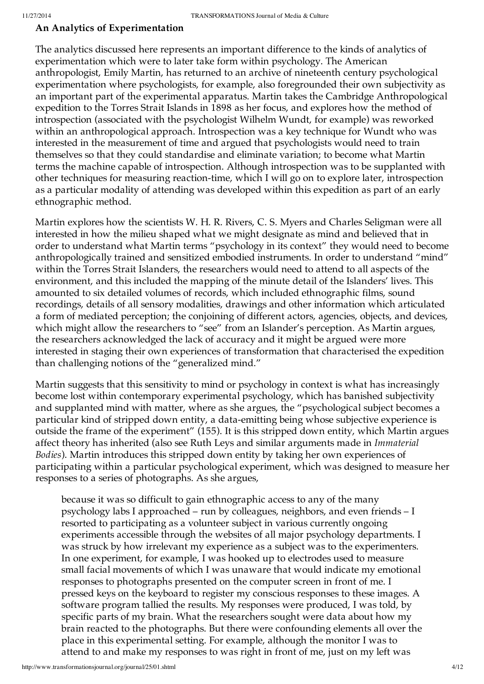### **An Analytics of Experimentation**

The analytics discussed here represents an important difference to the kinds of analytics of experimentation which were to later take form within psychology. The American anthropologist, Emily Martin, has returned to an archive of nineteenth century psychological experimentation where psychologists, for example, also foregrounded their own subjectivity as an important part of the experimental apparatus. Martin takes the Cambridge Anthropological expedition to the Torres Strait Islands in 1898 as her focus, and explores how the method of introspection (associated with the psychologist Wilhelm Wundt, for example) was reworked within an anthropological approach. Introspection was a key technique for Wundt who was interested in the measurement of time and argued that psychologists would need to train themselves so that they could standardise and eliminate variation; to become what Martin terms the machine capable of introspection. Although introspection was to be supplanted with other techniques for measuring reaction-time, which I will go on to explore later, introspection as a particular modality of attending was developed within this expedition as part of an early ethnographic method.

Martin explores how the scientists W. H. R. Rivers, C. S. Myers and Charles Seligman were all interested in how the milieu shaped what we might designate as mind and believed that in order to understand what Martin terms "psychology in its context" they would need to become anthropologically trained and sensitized embodied instruments. In order to understand "mind" within the Torres Strait Islanders, the researchers would need to attend to all aspects of the environment, and this included the mapping of the minute detail of the Islanders' lives. This amounted to six detailed volumes of records, which included ethnographic films, sound recordings, details of all sensory modalities, drawings and other information which articulated a form of mediated perception; the conjoining of different actors, agencies, objects, and devices, which might allow the researchers to "see" from an Islander's perception. As Martin argues, the researchers acknowledged the lack of accuracy and it might be argued were more interested in staging their own experiences of transformation that characterised the expedition than challenging notions of the "generalized mind."

Martin suggests that this sensitivity to mind or psychology in context is what has increasingly become lost within contemporary experimental psychology, which has banished subjectivity and supplanted mind with matter, where as she argues, the "psychological subject becomes a particular kind of stripped down entity, a data-emitting being whose subjective experience is outside the frame of the experiment" (155). It is this stripped down entity, which Martin argues affect theory has inherited (also see Ruth Leys and similar arguments made in *Immaterial Bodies*). Martin introduces this stripped down entity by taking her own experiences of participating within a particular psychological experiment, which was designed to measure her responses to a series of photographs. As she argues,

because it was so difficult to gain ethnographic access to any of the many psychology labs I approached – run by colleagues, neighbors, and even friends – I resorted to participating as a volunteer subject in various currently ongoing experiments accessible through the websites of all major psychology departments. I was struck by how irrelevant my experience as a subject was to the experimenters. In one experiment, for example, I was hooked up to electrodes used to measure small facial movements of which I was unaware that would indicate my emotional responses to photographs presented on the computer screen in front of me. I pressed keys on the keyboard to register my conscious responses to these images. A software program tallied the results. My responses were produced, I was told, by specific parts of my brain. What the researchers sought were data about how my brain reacted to the photographs. But there were confounding elements all over the place in this experimental setting. For example, although the monitor I was to attend to and make my responses to was right in front of me, just on my left was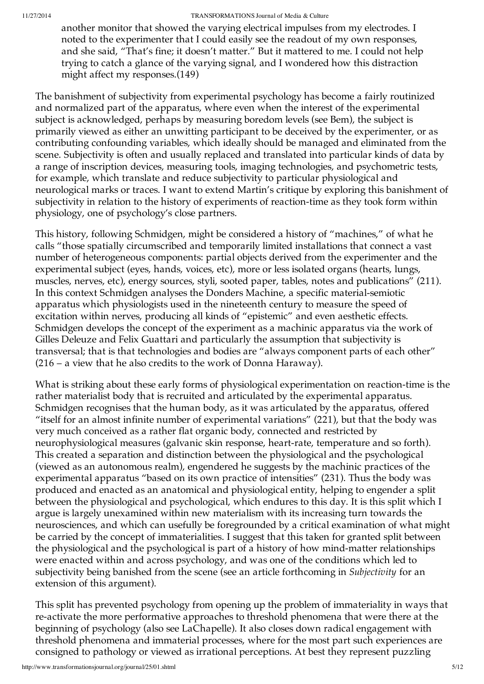another monitor that showed the varying electrical impulses from my electrodes. I noted to the experimenter that I could easily see the readout of my own responses, and she said, "That's fine; it doesn't matter." But it mattered to me. I could not help trying to catch a glance of the varying signal, and I wondered how this distraction might affect my responses.(149)

The banishment of subjectivity from experimental psychology has become a fairly routinized and normalized part of the apparatus, where even when the interest of the experimental subject is acknowledged, perhaps by measuring boredom levels (see Bem), the subject is primarily viewed as either an unwitting participant to be deceived by the experimenter, or as contributing confounding variables, which ideally should be managed and eliminated from the scene. Subjectivity is often and usually replaced and translated into particular kinds of data by a range of inscription devices, measuring tools, imaging technologies, and psychometric tests, for example, which translate and reduce subjectivity to particular physiological and neurological marks or traces. I want to extend Martin's critique by exploring this banishment of subjectivity in relation to the history of experiments of reaction-time as they took form within physiology, one of psychology's close partners.

This history, following Schmidgen, might be considered a history of "machines," of what he calls "those spatially circumscribed and temporarily limited installations that connect a vast number of heterogeneous components: partial objects derived from the experimenter and the experimental subject (eyes, hands, voices, etc), more or less isolated organs (hearts, lungs, muscles, nerves, etc), energy sources, styli, sooted paper, tables, notes and publications" (211). In this context Schmidgen analyses the Donders Machine, a specific material-semiotic apparatus which physiologists used in the nineteenth century to measure the speed of excitation within nerves, producing all kinds of "epistemic" and even aesthetic effects. Schmidgen develops the concept of the experiment as a machinic apparatus via the work of Gilles Deleuze and Felix Guattari and particularly the assumption that subjectivity is transversal; that is that technologies and bodies are "always component parts of each other" (216 – a view that he also credits to the work of Donna Haraway).

What is striking about these early forms of physiological experimentation on reaction-time is the rather materialist body that is recruited and articulated by the experimental apparatus. Schmidgen recognises that the human body, as it was articulated by the apparatus, offered "itself for an almost infinite number of experimental variations" (221), but that the body was very much conceived as a rather flat organic body, connected and restricted by neurophysiological measures (galvanic skin response, heart-rate, temperature and so forth). This created a separation and distinction between the physiological and the psychological (viewed as an autonomous realm), engendered he suggests by the machinic practices of the experimental apparatus "based on its own practice of intensities" (231). Thus the body was produced and enacted as an anatomical and physiological entity, helping to engender a split between the physiological and psychological, which endures to this day. It is this split which I argue is largely unexamined within new materialism with its increasing turn towards the neurosciences, and which can usefully be foregrounded by a critical examination of what might be carried by the concept of immaterialities. I suggest that this taken for granted split between the physiological and the psychological is part of a history of how mind-matter relationships were enacted within and across psychology, and was one of the conditions which led to subjectivity being banished from the scene (see an article forthcoming in *Subjectivity* for an extension of this argument).

This split has prevented psychology from opening up the problem of immateriality in ways that re-activate the more performative approaches to threshold phenomena that were there at the beginning of psychology (also see LaChapelle). It also closes down radical engagement with threshold phenomena and immaterial processes, where for the most part such experiences are consigned to pathology or viewed as irrational perceptions. At best they represent puzzling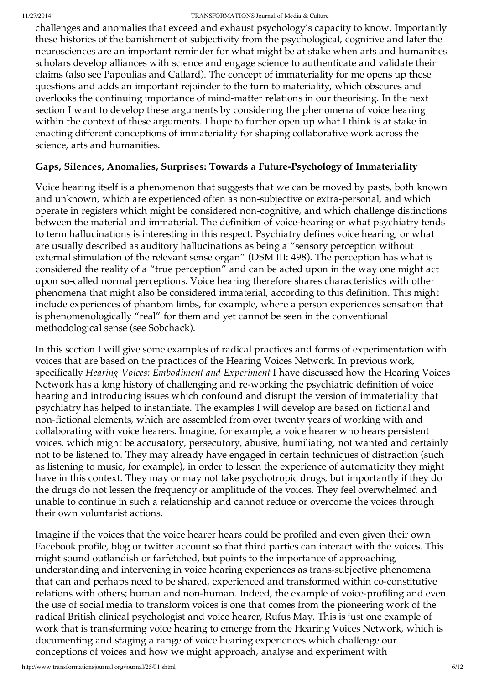challenges and anomalies that exceed and exhaust psychology's capacity to know. Importantly these histories of the banishment of subjectivity from the psychological, cognitive and later the neurosciences are an important reminder for what might be at stake when arts and humanities scholars develop alliances with science and engage science to authenticate and validate their claims (also see Papoulias and Callard). The concept of immateriality for me opens up these questions and adds an important rejoinder to the turn to materiality, which obscures and overlooks the continuing importance of mind-matter relations in our theorising. In the next section I want to develop these arguments by considering the phenomena of voice hearing within the context of these arguments. I hope to further open up what I think is at stake in enacting different conceptions of immateriality for shaping collaborative work across the science, arts and humanities.

## **Gaps, Silences, Anomalies, Surprises: Towards a Future-Psychology of Immateriality**

Voice hearing itself is a phenomenon that suggests that we can be moved by pasts, both known and unknown, which are experienced often as non-subjective or extra-personal, and which operate in registers which might be considered non-cognitive, and which challenge distinctions between the material and immaterial. The definition of voice-hearing or what psychiatry tends to term hallucinations is interesting in this respect. Psychiatry defines voice hearing, or what are usually described as auditory hallucinations as being a "sensory perception without external stimulation of the relevant sense organ" (DSM III: 498). The perception has what is considered the reality of a "true perception" and can be acted upon in the way one might act upon so-called normal perceptions. Voice hearing therefore shares characteristics with other phenomena that might also be considered immaterial, according to this definition. This might include experiences of phantom limbs, for example, where a person experiences sensation that is phenomenologically "real" for them and yet cannot be seen in the conventional methodological sense (see Sobchack).

In this section I will give some examples of radical practices and forms of experimentation with voices that are based on the practices of the Hearing Voices Network. In previous work, specifically *Hearing Voices: Embodiment and Experiment* I have discussed how the Hearing Voices Network has a long history of challenging and re-working the psychiatric definition of voice hearing and introducing issues which confound and disrupt the version of immateriality that psychiatry has helped to instantiate. The examples I will develop are based on fictional and non-fictional elements, which are assembled from over twenty years of working with and collaborating with voice hearers. Imagine, for example, a voice hearer who hears persistent voices, which might be accusatory, persecutory, abusive, humiliating, not wanted and certainly not to be listened to. They may already have engaged in certain techniques of distraction (such as listening to music, for example), in order to lessen the experience of automaticity they might have in this context. They may or may not take psychotropic drugs, but importantly if they do the drugs do not lessen the frequency or amplitude of the voices. They feel overwhelmed and unable to continue in such a relationship and cannot reduce or overcome the voices through their own voluntarist actions.

Imagine if the voices that the voice hearer hears could be profiled and even given their own Facebook profile, blog or twitter account so that third parties can interact with the voices. This might sound outlandish or farfetched, but points to the importance of approaching, understanding and intervening in voice hearing experiences as trans-subjective phenomena that can and perhaps need to be shared, experienced and transformed within co-constitutive relations with others; human and non-human. Indeed, the example of voice-profiling and even the use of social media to transform voices is one that comes from the pioneering work of the radical British clinical psychologist and voice hearer, Rufus May. This is just one example of work that is transforming voice hearing to emerge from the Hearing Voices Network, which is documenting and staging a range of voice hearing experiences which challenge our conceptions of voices and how we might approach, analyse and experiment with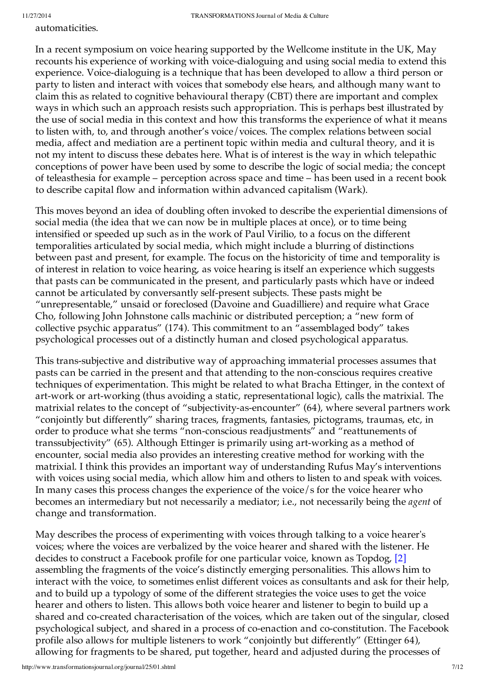automaticities.

In a recent symposium on voice hearing supported by the Wellcome institute in the UK, May recounts his experience of working with voice-dialoguing and using social media to extend this experience. Voice-dialoguing is a technique that has been developed to allow a third person or party to listen and interact with voices that somebody else hears, and although many want to claim this as related to cognitive behavioural therapy (CBT) there are important and complex ways in which such an approach resists such appropriation. This is perhaps best illustrated by the use of social media in this context and how this transforms the experience of what it means to listen with, to, and through another's voice/voices. The complex relations between social media, affect and mediation are a pertinent topic within media and cultural theory, and it is not my intent to discuss these debates here. What is of interest is the way in which telepathic conceptions of power have been used by some to describe the logic of social media; the concept of teleasthesia for example – perception across space and time – has been used in a recent book to describe capital flow and information within advanced capitalism (Wark).

This moves beyond an idea of doubling often invoked to describe the experiential dimensions of social media (the idea that we can now be in multiple places at once), or to time being intensified or speeded up such as in the work of Paul Virilio, to a focus on the different temporalities articulated by social media, which might include a blurring of distinctions between past and present, for example. The focus on the historicity of time and temporality is of interest in relation to voice hearing, as voice hearing is itself an experience which suggests that pasts can be communicated in the present, and particularly pasts which have or indeed cannot be articulated by conversantly self-present subjects. These pasts might be "unrepresentable," unsaid or foreclosed (Davoine and Guadilliere) and require what Grace Cho, following John Johnstone calls machinic or distributed perception; a "new form of collective psychic apparatus" (174). This commitment to an "assemblaged body" takes psychological processes out of a distinctly human and closed psychological apparatus.

This trans-subjective and distributive way of approaching immaterial processes assumes that pasts can be carried in the present and that attending to the non-conscious requires creative techniques of experimentation. This might be related to what Bracha Ettinger, in the context of art-work or art-working (thus avoiding a static, representational logic), calls the matrixial. The matrixial relates to the concept of "subjectivity-as-encounter" (64), where several partners work "conjointly but differently" sharing traces, fragments, fantasies, pictograms, traumas, etc, in order to produce what she terms "non-conscious readjustments" and "reattunements of transsubjectivity" (65). Although Ettinger is primarily using art-working as a method of encounter, social media also provides an interesting creative method for working with the matrixial. I think this provides an important way of understanding Rufus May's interventions with voices using social media, which allow him and others to listen to and speak with voices. In many cases this process changes the experience of the voice/s for the voice hearer who becomes an intermediary but not necessarily a mediator; i.e., not necessarily being the *agent* of change and transformation.

May describes the process of experimenting with voices through talking to a voice hearer's voices; where the voices are verbalized by the voice hearer and shared with the listener. He decides to construct a Facebook profile for one particular voice, known as Topdog, [2] assembling the fragments of the voice's distinctly emerging personalities. This allows him to interact with the voice, to sometimes enlist different voices as consultants and ask for their help, and to build up a typology of some of the different strategies the voice uses to get the voice hearer and others to listen. This allows both voice hearer and listener to begin to build up a shared and co-created characterisation of the voices, which are taken out of the singular, closed psychological subject, and shared in a process of co-enaction and co-constitution. The Facebook profile also allows for multiple listeners to work "conjointly but differently" (Ettinger 64), allowing for fragments to be shared, put together, heard and adjusted during the processes of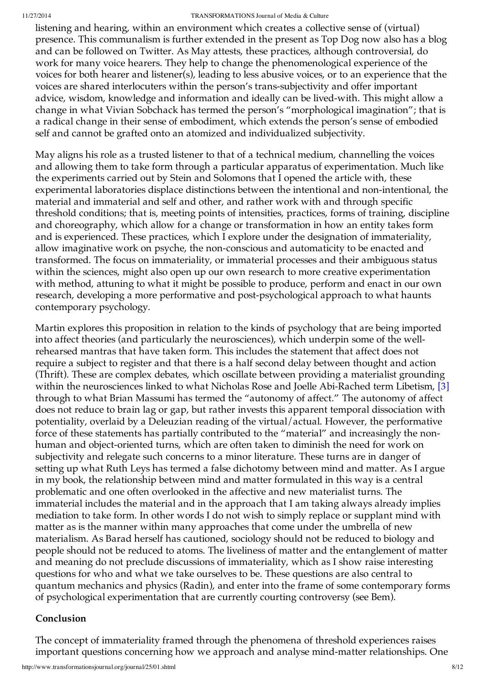listening and hearing, within an environment which creates a collective sense of (virtual) presence. This communalism is further extended in the present as Top Dog now also has a blog and can be followed on Twitter. As May attests, these practices, although controversial, do work for many voice hearers. They help to change the phenomenological experience of the voices for both hearer and listener(s), leading to less abusive voices, or to an experience that the voices are shared interlocuters within the person's trans-subjectivity and offer important advice, wisdom, knowledge and information and ideally can be lived-with. This might allow a change in what Vivian Sobchack has termed the person's "morphological imagination"; that is a radical change in their sense of embodiment, which extends the person's sense of embodied self and cannot be grafted onto an atomized and individualized subjectivity.

May aligns his role as a trusted listener to that of a technical medium, channelling the voices and allowing them to take form through a particular apparatus of experimentation. Much like the experiments carried out by Stein and Solomons that I opened the article with, these experimental laboratories displace distinctions between the intentional and non-intentional, the material and immaterial and self and other, and rather work with and through specific threshold conditions; that is, meeting points of intensities, practices, forms of training, discipline and choreography, which allow for a change or transformation in how an entity takes form and is experienced. These practices, which I explore under the designation of immateriality, allow imaginative work on psyche, the non-conscious and automaticity to be enacted and transformed. The focus on immateriality, or immaterial processes and their ambiguous status within the sciences, might also open up our own research to more creative experimentation with method, attuning to what it might be possible to produce, perform and enact in our own research, developing a more performative and post-psychological approach to what haunts contemporary psychology.

Martin explores this proposition in relation to the kinds of psychology that are being imported into affect theories (and particularly the neurosciences), which underpin some of the wellrehearsed mantras that have taken form. This includes the statement that affect does not require a subject to register and that there is a half second delay between thought and action (Thrift). These are complex debates, which oscillate between providing a materialist grounding within the neurosciences linked to what Nicholas Rose and Joelle Abi-Rached term Libetism, [3] through to what Brian Massumi has termed the "autonomy of affect." The autonomy of affect does not reduce to brain lag or gap, but rather invests this apparent temporal dissociation with potentiality, overlaid by a Deleuzian reading of the virtual/actual. However, the performative force of these statements has partially contributed to the "material" and increasingly the nonhuman and object-oriented turns, which are often taken to diminish the need for work on subjectivity and relegate such concerns to a minor literature. These turns are in danger of setting up what Ruth Leys has termed a false dichotomy between mind and matter. As I argue in my book, the relationship between mind and matter formulated in this way is a central problematic and one often overlooked in the affective and new materialist turns. The immaterial includes the material and in the approach that I am taking always already implies mediation to take form. In other words I do not wish to simply replace or supplant mind with matter as is the manner within many approaches that come under the umbrella of new materialism. As Barad herself has cautioned, sociology should not be reduced to biology and people should not be reduced to atoms. The liveliness of matter and the entanglement of matter and meaning do not preclude discussions of immateriality, which as I show raise interesting questions for who and what we take ourselves to be. These questions are also central to quantum mechanics and physics (Radin), and enter into the frame of some contemporary forms of psychological experimentation that are currently courting controversy (see Bem).

## **Conclusion**

The concept of immateriality framed through the phenomena of threshold experiences raises important questions concerning how we approach and analyse mind-matter relationships. One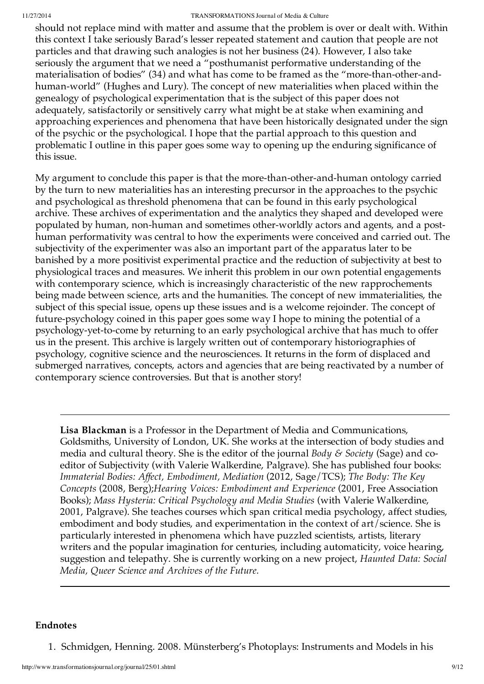should not replace mind with matter and assume that the problem is over or dealt with. Within this context I take seriously Barad's lesser repeated statement and caution that people are not particles and that drawing such analogies is not her business (24). However, I also take seriously the argument that we need a "posthumanist performative understanding of the materialisation of bodies" (34) and what has come to be framed as the "more-than-other-andhuman-world" (Hughes and Lury). The concept of new materialities when placed within the genealogy of psychological experimentation that is the subject of this paper does not adequately, satisfactorily or sensitively carry what might be at stake when examining and approaching experiences and phenomena that have been historically designated under the sign of the psychic or the psychological. I hope that the partial approach to this question and problematic I outline in this paper goes some way to opening up the enduring significance of this issue.

My argument to conclude this paper is that the more-than-other-and-human ontology carried by the turn to new materialities has an interesting precursor in the approaches to the psychic and psychological as threshold phenomena that can be found in this early psychological archive. These archives of experimentation and the analytics they shaped and developed were populated by human, non-human and sometimes other-worldly actors and agents, and a posthuman performativity was central to how the experiments were conceived and carried out. The subjectivity of the experimenter was also an important part of the apparatus later to be banished by a more positivist experimental practice and the reduction of subjectivity at best to physiological traces and measures. We inherit this problem in our own potential engagements with contemporary science, which is increasingly characteristic of the new rapprochements being made between science, arts and the humanities. The concept of new immaterialities, the subject of this special issue, opens up these issues and is a welcome rejoinder. The concept of future-psychology coined in this paper goes some way I hope to mining the potential of a psychology-yet-to-come by returning to an early psychological archive that has much to offer us in the present. This archive is largely written out of contemporary historiographies of psychology, cognitive science and the neurosciences. It returns in the form of displaced and submerged narratives, concepts, actors and agencies that are being reactivated by a number of contemporary science controversies. But that is another story!

**Lisa Blackman** is a Professor in the Department of Media and Communications, Goldsmiths, University of London, UK. She works at the intersection of body studies and media and cultural theory. She is the editor of the journal *Body & Society* (Sage) and coeditor of Subjectivity (with Valerie Walkerdine, Palgrave). She has published four books: *Immaterial Bodies: Affect, Embodiment, Mediation* (2012, Sage/TCS); *The Body: The Key Concepts* (2008, Berg);*Hearing Voices: Embodiment and Experience* (2001, Free Association Books); *Mass Hysteria: Critical Psychology and Media Studies* (with Valerie Walkerdine, 2001, Palgrave). She teaches courses which span critical media psychology, affect studies, embodiment and body studies, and experimentation in the context of art/science. She is particularly interested in phenomena which have puzzled scientists, artists, literary writers and the popular imagination for centuries, including automaticity, voice hearing, suggestion and telepathy. She is currently working on a new project, *Haunted Data: Social Media, Queer Science and Archives of the Future.*

#### **Endnotes**

1. Schmidgen, Henning. 2008. Münsterberg's Photoplays: Instruments and Models in his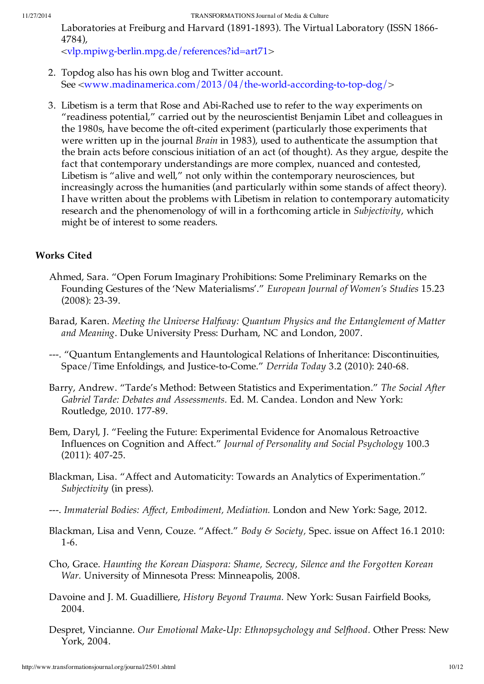Laboratories at Freiburg and Harvard (1891-1893). The Virtual Laboratory (ISSN 1866- 4784),

<vlp.mpiwg-berlin.mpg.de/references?id=art71>

- 2. Topdog also has his own blog and Twitter account. See <www.madinamerica.com/2013/04/the-world-according-to-top-dog/>
- 3. Libetism is a term that Rose and Abi-Rached use to refer to the way experiments on "readiness potential," carried out by the neuroscientist Benjamin Libet and colleagues in the 1980s, have become the oft-cited experiment (particularly those experiments that were written up in the journal *Brain* in 1983), used to authenticate the assumption that the brain acts before conscious initiation of an act (of thought). As they argue, despite the fact that contemporary understandings are more complex, nuanced and contested, Libetism is "alive and well," not only within the contemporary neurosciences, but increasingly across the humanities (and particularly within some stands of affect theory). I have written about the problems with Libetism in relation to contemporary automaticity research and the phenomenology of will in a forthcoming article in *Subjectivity*, which might be of interest to some readers.

## **Works Cited**

- Ahmed, Sara. "Open Forum Imaginary Prohibitions: Some Preliminary Remarks on the Founding Gestures of the 'New Materialisms'." *European Journal of Women's Studies* 15.23 (2008): 23-39.
- Barad, Karen. *Meeting the Universe Halfway: Quantum Physics and the Entanglement of Matter and Meaning*. Duke University Press: Durham, NC and London, 2007.
- ---. "Quantum Entanglements and Hauntological Relations of Inheritance: Discontinuities, Space/Time Enfoldings, and Justice-to-Come." *Derrida Today* 3.2 (2010): 240-68.
- Barry, Andrew. "Tarde's Method: Between Statistics and Experimentation." *The Social After Gabriel Tarde: Debates and Assessments.* Ed. M. Candea. London and New York: Routledge, 2010. 177-89.
- Bem, Daryl, J. "Feeling the Future: Experimental Evidence for Anomalous Retroactive Influences on Cognition and Affect." *Journal of Personality and Social Psychology* 100.3 (2011): 407-25.
- Blackman, Lisa. "Affect and Automaticity: Towards an Analytics of Experimentation." *Subjectivity* (in press).
- ---. *Immaterial Bodies: Affect, Embodiment, Mediation.* London and New York: Sage, 2012.
- Blackman, Lisa and Venn, Couze. "Affect." *Body & Society,* Spec. issue on Affect 16.1 2010: 1-6.

Cho, Grace. *Haunting the Korean Diaspora: Shame, Secrecy, Silence and the Forgotten Korean War.* University of Minnesota Press: Minneapolis, 2008.

- Davoine and J. M. Guadilliere, *History Beyond Trauma.* New York: Susan Fairfield Books, 2004.
- Despret, Vincianne. *Our Emotional Make-Up: Ethnopsychology and Selfhood.* Other Press: New York, 2004.